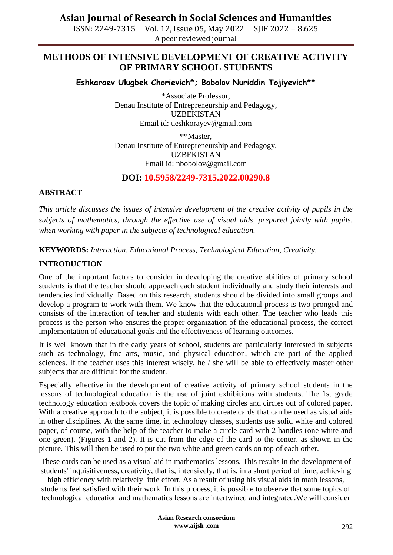ISSN: 2249-7315 Vol. 12, Issue 05, May 2022 SJIF 2022 = 8.625 A peer reviewed journal

### **METHODS OF INTENSIVE DEVELOPMENT OF CREATIVE ACTIVITY OF PRIMARY SCHOOL STUDENTS**

**Eshkaraev Ulugbek Chorievich\*; Bobolov Nuriddin Tojiyevich\*\***

\*Associate Professor, Denau Institute of Entrepreneurship and Pedagogy, UZBEKISTAN Email id: [ueshkorayev@gmail.com](mailto:ueshkorayev@gmail.com)

\*\*Master, Denau Institute of Entrepreneurship and Pedagogy, UZBEKISTAN Email id: [nbobolov@gmail.com](mailto:nbobolov@gmail.com)

**DOI: 10.5958/2249-7315.2022.00290.8**

### **ABSTRACT**

*This article discusses the issues of intensive development of the creative activity of pupils in the subjects of mathematics, through the effective use of visual aids, prepared jointly with pupils, when working with paper in the subjects of technological education.*

**KEYWORDS:** *Interaction, Educational Process, Technological Education, Creativity.*

### **INTRODUCTION**

One of the important factors to consider in developing the creative abilities of primary school students is that the teacher should approach each student individually and study their interests and tendencies individually. Based on this research, students should be divided into small groups and develop a program to work with them. We know that the educational process is two-pronged and consists of the interaction of teacher and students with each other. The teacher who leads this process is the person who ensures the proper organization of the educational process, the correct implementation of educational goals and the effectiveness of learning outcomes.

It is well known that in the early years of school, students are particularly interested in subjects such as technology, fine arts, music, and physical education, which are part of the applied sciences. If the teacher uses this interest wisely, he / she will be able to effectively master other subjects that are difficult for the student.

Especially effective in the development of creative activity of primary school students in the lessons of technological education is the use of joint exhibitions with students. The 1st grade technology education textbook covers the topic of making circles and circles out of colored paper. With a creative approach to the subject, it is possible to create cards that can be used as visual aids in other disciplines. At the same time, in technology classes, students use solid white and colored paper, of course, with the help of the teacher to make a circle card with 2 handles (one white and one green). (Figures 1 and 2). It is cut from the edge of the card to the center, as shown in the picture. This will then be used to put the two white and green cards on top of each other.

These cards can be used as a visual aid in mathematics lessons. This results in the development of students' inquisitiveness, creativity, that is, intensively, that is, in a short period of time, achieving

high efficiency with relatively little effort. As a result of using his visual aids in math lessons, students feel satisfied with their work. In this process, it is possible to observe that some topics of technological education and mathematics lessons are intertwined and integrated.We will consider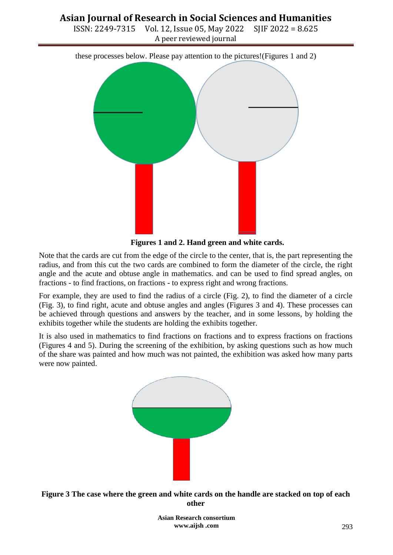ISSN: 2249-7315 Vol. 12, Issue 05, May 2022 SJIF 2022 = 8.625 A peer reviewed journal

these processes below. Please pay attention to the pictures!(Figures 1 and 2)



**Figures 1 and 2. Hand green and white cards.**

Note that the cards are cut from the edge of the circle to the center, that is, the part representing the radius, and from this cut the two cards are combined to form the diameter of the circle, the right angle and the acute and obtuse angle in mathematics. and can be used to find spread angles, on fractions - to find fractions, on fractions - to express right and wrong fractions.

For example, they are used to find the radius of a circle (Fig. 2), to find the diameter of a circle (Fig. 3), to find right, acute and obtuse angles and angles (Figures 3 and 4). These processes can be achieved through questions and answers by the teacher, and in some lessons, by holding the exhibits together while the students are holding the exhibits together.

It is also used in mathematics to find fractions on fractions and to express fractions on fractions (Figures 4 and 5). During the screening of the exhibition, by asking questions such as how much of the share was painted and how much was not painted, the exhibition was asked how many parts were now painted.





**Asian Research consortium www.aijsh .com**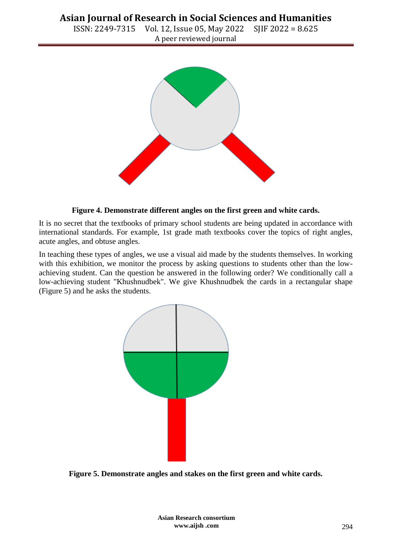ISSN: 2249-7315 Vol. 12, Issue 05, May 2022 SJIF 2022 = 8.625 A peer reviewed journal



#### **Figure 4. Demonstrate different angles on the first green and white cards.**

It is no secret that the textbooks of primary school students are being updated in accordance with international standards. For example, 1st grade math textbooks cover the topics of right angles, acute angles, and obtuse angles.

In teaching these types of angles, we use a visual aid made by the students themselves. In working with this exhibition, we monitor the process by asking questions to students other than the lowachieving student. Can the question be answered in the following order? We conditionally call a low-achieving student "Khushnudbek". We give Khushnudbek the cards in a rectangular shape (Figure 5) and he asks the students.



**Figure 5. Demonstrate angles and stakes on the first green and white cards.**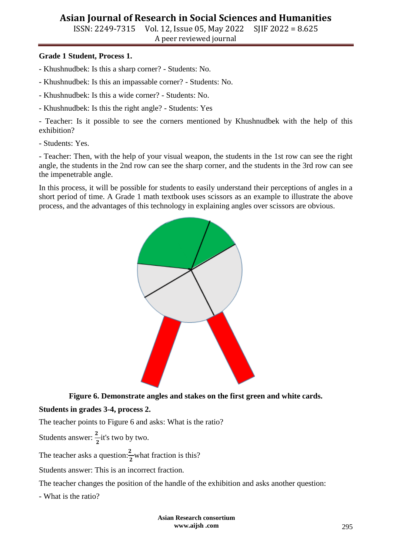ISSN: 2249-7315 Vol. 12, Issue 05, May 2022 SJIF 2022 = 8.625 A peer reviewed journal

### **Grade 1 Student, Process 1.**

- Khushnudbek: Is this a sharp corner? Students: No.
- Khushnudbek: Is this an impassable corner? Students: No.
- Khushnudbek: Is this a wide corner? Students: No.
- Khushnudbek: Is this the right angle? Students: Yes

- Teacher: Is it possible to see the corners mentioned by Khushnudbek with the help of this exhibition?

- Students: Yes.

- Teacher: Then, with the help of your visual weapon, the students in the 1st row can see the right angle, the students in the 2nd row can see the sharp corner, and the students in the 3rd row can see the impenetrable angle.

In this process, it will be possible for students to easily understand their perceptions of angles in a short period of time. A Grade 1 math textbook uses scissors as an example to illustrate the above process, and the advantages of this technology in explaining angles over scissors are obvious.



**Figure 6. Demonstrate angles and stakes on the first green and white cards.**

### **Students in grades 3-4, process 2.**

The teacher points to Figure 6 and asks: What is the ratio?

Students answer:  $\frac{2}{2}$  it's two by two.

The teacher asks a question: $\frac{2}{2}$  what fraction is this?

Students answer: This is an incorrect fraction.

The teacher changes the position of the handle of the exhibition and asks another question:

- What is the ratio?